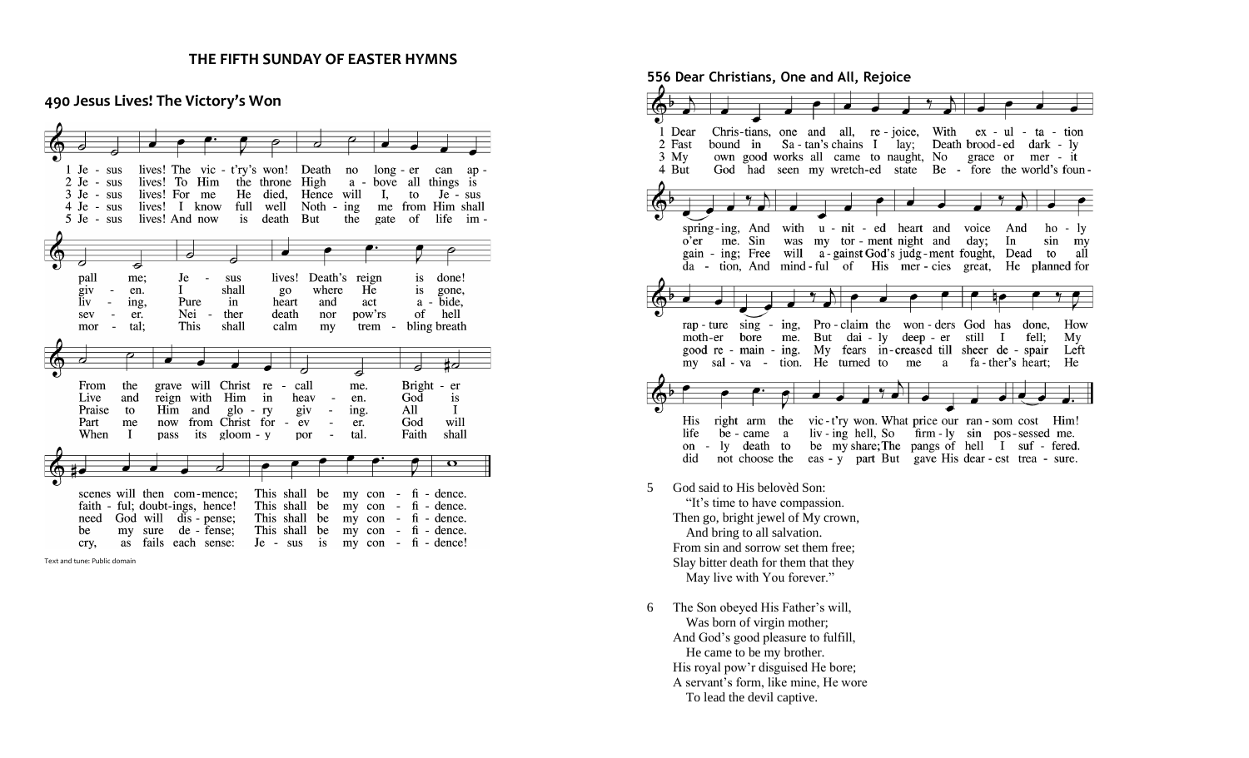#### **THE FIFTH SUNDAY OF EASTER HYMNS**

### **490 Jesus Lives! The Victory's Won**





**556 Dear Christians, One and All, Rejoice** Chris-tians, one and all, re-joice, With ex - ul - ta - tion 1 Dear 2 Fast bound in Sa-tan's chains I lay; Death brood-ed dark - ly own good works all came to naught, No grace or mer - it  $3 \,$ My God had seen my wretch-ed state Be - fore the world's foun-4 But spring-ing, And with u - nit - ed heart and voice And ho - ly o'er me. Sin was my tor - ment night and day; In sin my gain - ing; Free will a-gainst God's judg-ment fought, Dead to all da - tion, And mind-ful of His mer-cies great, He planned for rap-ture sing - ing, Pro-claim the won-ders God has done, How moth-er bore me. But dai - ly deep - er still I fell;  $My$ good re - main - ing. My fears in-creased till sheer de - spair Left my sal-va-tion. He turned to me a fa-ther's heart; He His right arm the vic-t'ry won. What price our ran-som cost Him! life be came a liv-ing hell, So firm-ly sin pos-sessed me. on - ly death to be my share; The pangs of hell I suf - fered. did not choose the eas - y part But gave His dear - est trea - sure.

- 5 God said to His belovèd Son: "It's time to have compassion. Then go, bright jewel of My crown, And bring to all salvation. From sin and sorrow set them free; Slay bitter death for them that they May live with You forever."
- 6 The Son obeyed His Father's will, Was born of virgin mother: And God's good pleasure to fulfill, He came to be my brother. His royal pow'r disguised He bore; A servant's form, like mine, He wore To lead the devil captive.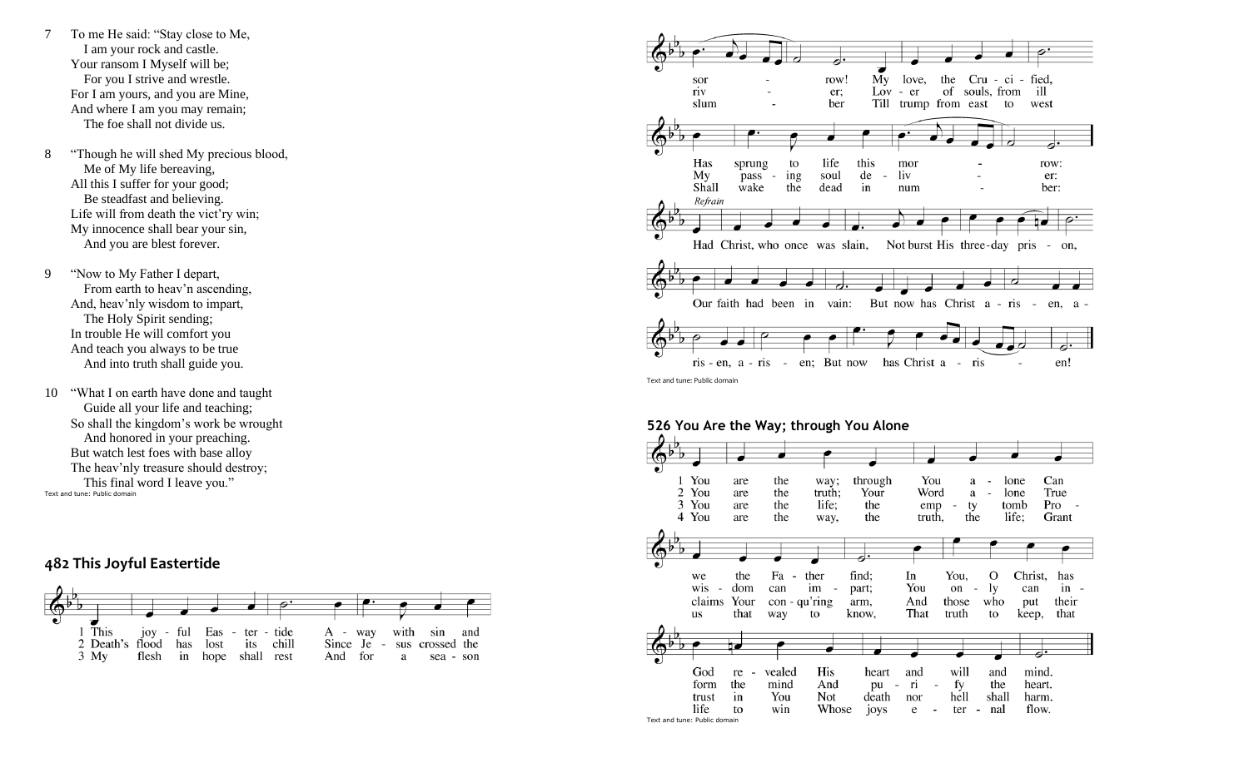- 7 To me He said: "Stay close to Me, I am your rock and castle. Your ransom I Myself will be; For you I strive and wrestle. For I am yours, and you are Mine, And where I am you may remain; The foe shall not divide us.
- 8 "Though he will shed My precious blood, Me of My life bereaving, All this I suffer for your good; Be steadfast and believing. Life will from death the vict'ry win; My innocence shall bear your sin, And you are blest forever.
- 9 "Now to My Father I depart, From earth to heav'n ascending, And, heav'nly wisdom to impart, The Holy Spirit sending; In trouble He will comfort you And teach you always to be true And into truth shall guide you.
- 10 "What I on earth have done and taught Guide all your life and teaching; So shall the kingdom's work be wrought And honored in your preaching. But watch lest foes with base alloy The heav'nly treasure should destroy; This final word I leave you." Text and tune: Public domain

# **482 This Joyful Eastertide**





**526 You Are the Way; through You Alone** You are the way; through You a lone Can  $\sim$ 2 You the truth; Your Word True are a lone  $\sim$ 3 You life: Pro are the the emp  $\sim$ ty tomb 4 You life; are the way, the truth, the Grant the Fa ther find; In You.  $\Omega$ Christ. has we  $\sim$ dom can im part; You on ly wis can  $in$ con - qu'ring claims Your arm, And those who put their us that way to know, That truth to keep, that God vealed His will and mind. re heart and form the mind And pu - ri  $\sim$ fv the heart. in You Not death nor hell shall harm. trust life Whose flow. to win joys e  $\sim$ ter - nal Text and tune: Public domain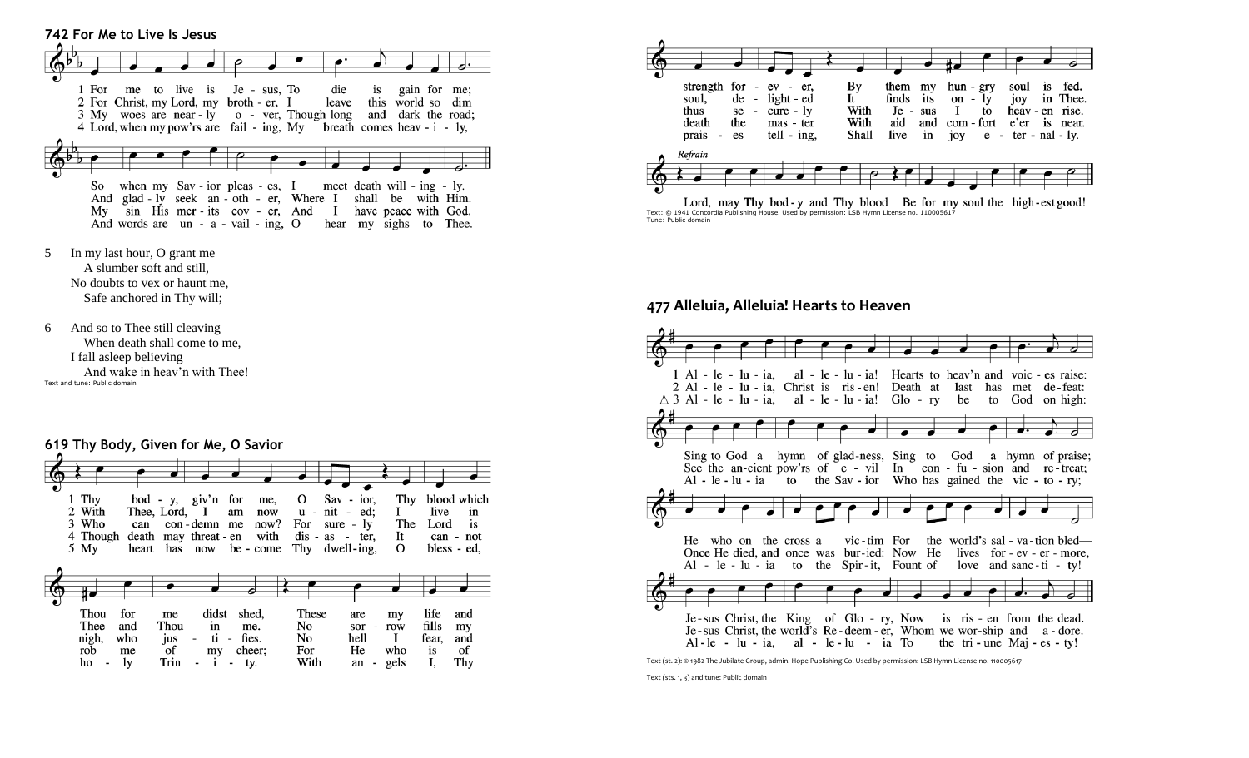

- 5 In my last hour, O grant me A slumber soft and still, No doubts to vex or haunt me, Safe anchored in Thy will;
- 6 And so to Thee still cleaving When death shall come to me, I fall asleep believing And wake in heav'n with Thee! Text and tune: Public domain

### **619 Thy Body, Given for Me, O Savior**

| 1 Thy<br>2 With<br>3 Who<br>4 Though<br>5 My | can                           | Thee, Lord, I                                               | bod - y, giv'n for<br>con-demn me | me,<br>am<br>now<br>now?<br>death may threat - en with | O<br>$u -$<br>For                | Sav - ior,<br>nit - ed:<br>sure - $\mathbf{I} \mathbf{v}$<br>$dis - as - ter$<br>heart has now be - come Thy dwell-ing. | Thy<br>Ι.<br>The<br>It<br>$\Omega$       | live<br>Lord                              | blood which<br>in<br>is<br>can - not<br>bless - ed, |
|----------------------------------------------|-------------------------------|-------------------------------------------------------------|-----------------------------------|--------------------------------------------------------|----------------------------------|-------------------------------------------------------------------------------------------------------------------------|------------------------------------------|-------------------------------------------|-----------------------------------------------------|
| Thou<br>Thee<br>nigh,<br>rob<br>ho           | for<br>and<br>who<br>me<br>1y | me<br>Thou<br>jus<br>$\overline{\phantom{a}}$<br>of<br>Trin | didst<br>in<br>ti<br>my           | shed,<br>me.<br>- fies.<br>cheer:<br>- ty.             | These<br>No<br>No<br>For<br>With | are<br>sor<br>$\overline{\phantom{a}}$<br>hell<br>He<br>an<br>$\overline{\phantom{a}}$                                  | my<br>row<br>$\mathbf{I}$<br>who<br>gels | life<br>fills<br>fear.<br><i>is</i><br>I, | and<br>my<br>and<br>of<br>Thy                       |



Lord, may Thy bod-y and Thy blood Be for my soul the high-est good! Text: © 1941 Concordia Publishing House. Used by permission: LSB Hymn License no. 110005617 Tune: Public domain

## **477 Alleluia, Alleluia! Hearts to Heaven**



Text (st. 2): © 1982 The Jubilate Group, admin. Hope Publishing Co. Used by permission: LSB Hymn License no. 110005617

Text (sts. 1, 3) and tune: Public domain